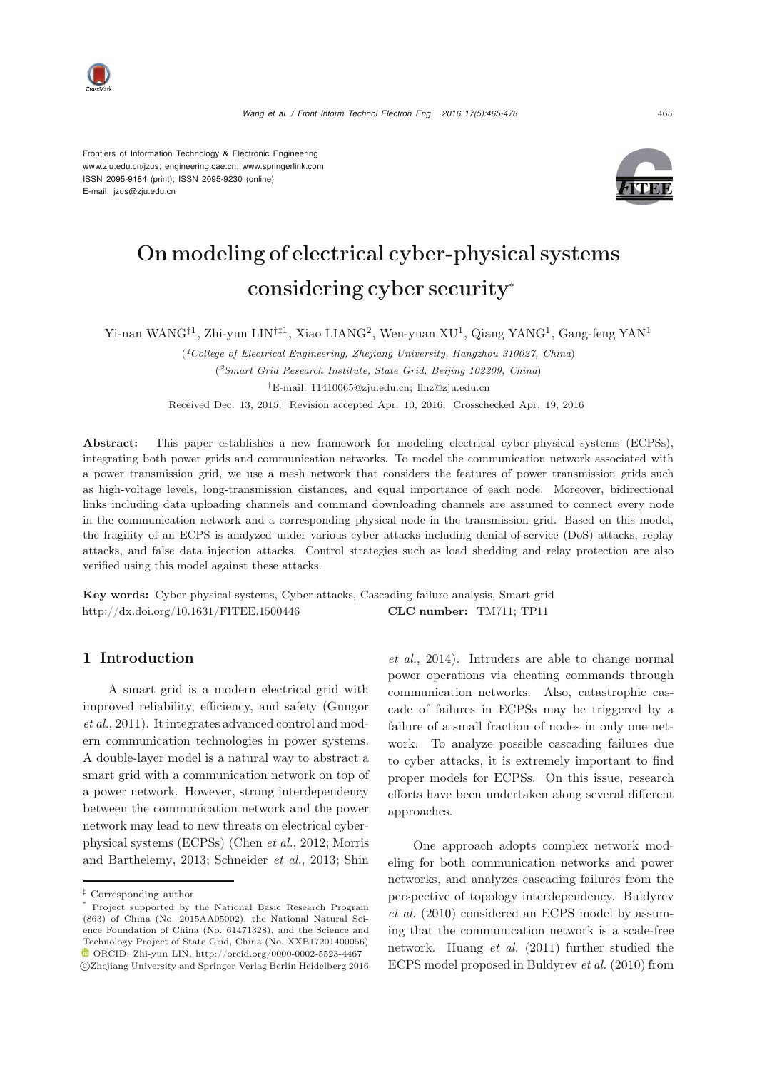

Frontiers of Information Technology & Electronic Engineering www.zju.edu.cn/jzus; engineering.cae.cn; www.springerlink.com ISSN 2095-9184 (print); ISSN 2095-9230 (online) E-mail: jzus@zju.edu.cn



# On modeling of electrical cyber-physical systems considering cyber security<sup>∗</sup>

Yi-nan WANG<sup>†1</sup>, Zhi-yun LIN<sup>†‡1</sup>, Xiao LIANG<sup>2</sup>, Wen-yuan XU<sup>1</sup>, Qiang YANG<sup>1</sup>, Gang-feng YAN<sup>1</sup>

(*1College of Electrical Engineering, Zhejiang University, Hangzhou 310027, China*) (*2Smart Grid Research Institute, State Grid, Beijing 102209, China*) *†*E-mail: 11410065@zju.edu.cn; linz@zju.edu.cn

Received Dec. 13, 2015; Revision accepted Apr. 10, 2016; Crosschecked Apr. 19, 2016

Abstract: This paper establishes a new framework for modeling electrical cyber-physical systems (ECPSs), integrating both power grids and communication networks. To model the communication network associated with a power transmission grid, we use a mesh network that considers the features of power transmission grids such as high-voltage levels, long-transmission distances, and equal importance of each node. Moreover, bidirectional links including data uploading channels and command downloading channels are assumed to connect every node in the communication network and a corresponding physical node in the transmission grid. Based on this model, the fragility of an ECPS is analyzed under various cyber attacks including denial-of-service (DoS) attacks, replay attacks, and false data injection attacks. Control strategies such as load shedding and relay protection are also verified using this model against these attacks.

Key words: Cyber-physical systems, Cyber attacks, Cascading failure analysis, Smart grid http://dx.doi.org/10.1631/FITEE.1500446 **CLC number:** TM711; TP11

# 1 Introduction

A smart grid is a modern electrical grid with improved reliability, efficiency, and safety (Gungor *et al.*, [2011\)](#page-13-0). It integrates advanced control and modern communication technologies in power systems. A double-layer model is a natural way to abstract a smart grid with a communication network on top of a power network. However, strong interdependency between the communication network and the power network may lead to new threats on electrical cyberphysical system[s](#page-13-2) [\(ECPSs\)](#page-13-2) [\(Chen](#page-13-1) *et al.*, [2012](#page-13-1); Morris and Barthelemy, [2013](#page-13-2); [Schneider](#page-13-3) *et al.*, [2013](#page-13-3); Shin *et al.*, [2014](#page-13-4)). Intruders are able to change normal power operations via cheating commands through communication networks. Also, catastrophic cascade of failures in ECPSs may be triggered by a failure of a small fraction of nodes in only one net[work.](#page-13-4) To analyze possible cascading failures due to cyber attacks, it is extremely important to find proper models for ECPSs. On this issue, research efforts have been undertaken along several different approaches.

One approach adopts complex network modeling for both communication networks and power networks, and analyzes cascading failures from the pers[pective](#page-13-5) [of](#page-13-5) [topology](#page-13-5) [interdependency.](#page-13-5) Buldyrev *et al.* [\(2010](#page-13-5)) considered an ECPS model by assuming that the communication network is a scale-free network. [Huang](#page-13-6) *et al.* [\(2011\)](#page-13-6) further studied the ECPS model proposed in [Buldyrev](#page-13-5) *et al.* [\(2010\)](#page-13-5) from

*<sup>‡</sup>* Corresponding author

Project supported by the National Basic Research Program  $(863)$  of China  $(N_0, 2015AA05002)$ , the National Natural Science Foundation of China (No. 61471328), and the Science and Technology Project of State Grid, China (No. XXB17201400056) ORCID: Zhi-yun LIN, http://orcid.org/0000-0002-5523-4467

c Zhejiang University and Springer-Verlag Berlin Heidelberg 2016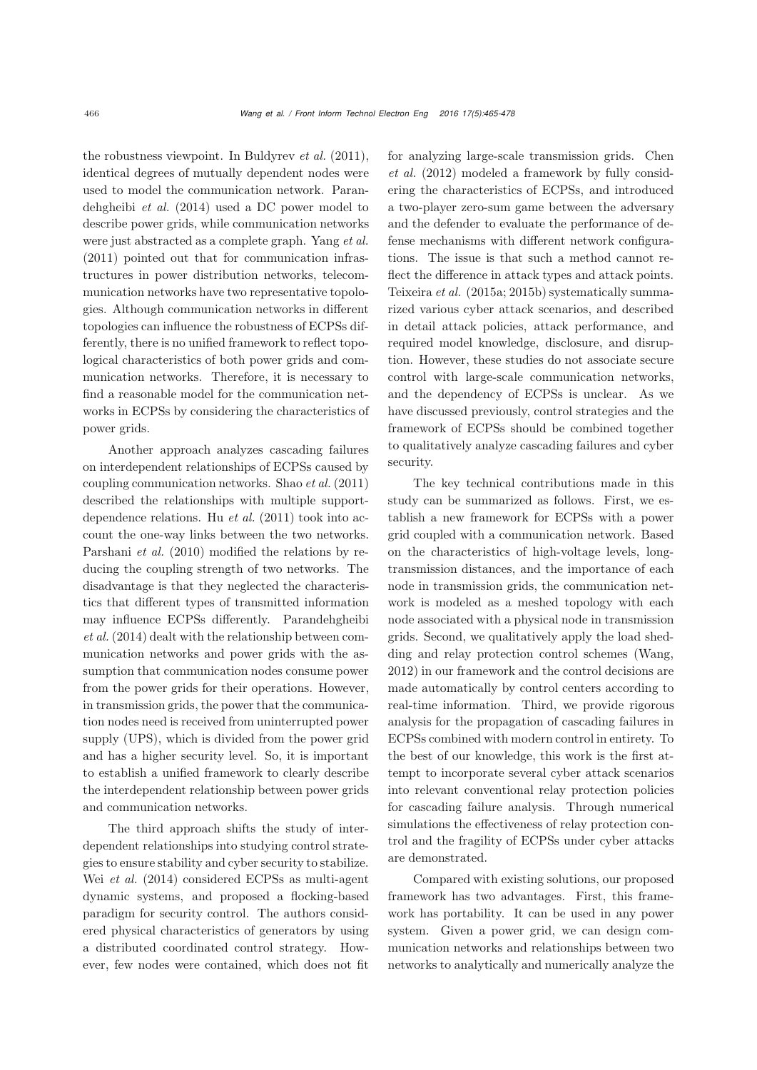the robustness viewpoint. In [Buldyrev](#page-13-7) *et al.* [\(2011\)](#page-13-7), identical degrees of mutually dependent nodes were used to model [the](#page-13-8) [communication](#page-13-8) [network.](#page-13-8) Parandehgheibi *et al.* [\(2014\)](#page-13-8) used a DC power model to describe power grids, while communication networks were just abstracted as a complete graph. [Yang](#page-13-9) *et al.* [\(2011](#page-13-9)) pointed out that for communication infrastructures in power distribution networks, telecommunication networks have two representative topologies. Although communication networks in different topologies can influence the robustness of ECPSs differently, there is no unified framework to reflect topological characteristics of both power grids and communication networks. Therefore, it is necessary to find a reasonable model for the communication networks in ECPSs by considering the characteristics of power grids.

Another approach analyzes cascading failures on interdependent relationships of ECPSs caused by coupling communication networks. [Shao](#page-13-10) *et al.* [\(2011](#page-13-10)) described the relationships with multiple supportdependence relations. Hu *[et al.](#page-13-11)* [\(2011](#page-13-11)) took into account the one-way links between the two networks. [Parshani](#page-13-12) *et al.* [\(2010](#page-13-12)) modified the relations by reducing the coupling strength of two networks. The disadvantage is that they neglected the characteristics that different types of transmitted information may [influence](#page-13-8) [ECPSs](#page-13-8) [differently.](#page-13-8) Parandehgheibi *et al.* [\(2014\)](#page-13-8) dealt with the relationship between communication networks and power grids with the assumption that communication nodes consume power from the power grids for their operations. However, in transmission grids, the power that the communication nodes need is received from uninterrupted power supply (UPS), which is divided from the power grid and has a higher security level. So, it is important to establish a unified framework to clearly describe the interdependent relationship between power grids and communication networks.

The third approach shifts the study of interdependent relationships into studying control strategies to ensure stability and cyber security to stabilize. Wei *[et al.](#page-13-13)* [\(2014](#page-13-13)) considered ECPSs as multi-agent dynamic systems, and proposed a flocking-based paradigm for security control. The authors considered physical characteristics of generators by using a distributed coordinated control strategy. However, few nodes were contained, which does not fit

for a[nalyzing](#page-13-1) [large-scale](#page-13-1) [transmission](#page-13-1) [grids.](#page-13-1) Chen *et al.* [\(2012\)](#page-13-1) modeled a framework by fully considering the characteristics of ECPSs, and introduced a two-player zero-sum game between the adversary and the defender to evaluate the performance of defense mechanisms with different network configurations. The issue is that such a method cannot reflect the difference in attack types and attack points. Teixeira *et al.* (2015a; 2015b) systematically summarized various cyber attack scenarios, and described in detail attack policies, attack performance, and required model knowledge, disclosure, and disruption. However, these studies do not associate secure control with large-scale communication networks, and the dependency of ECPSs is unclear. As we have discussed previously, control strategies and the framework of ECPSs should be combined together to qualitatively analyze cascading failures and cyber security.

The key technical contributions made in this study can be summarized as follows. First, we establish a new framework for ECPSs with a power grid coupled with a communication network. Based on the characteristics of high-voltage levels, longtransmission distances, and the importance of each node in transmission grids, the communication network is modeled as a meshed topology with each node associated with a physical node in transmission grids. Second, we qualitatively apply the load shedding and relay protection control schemes [\(Wang](#page-13-14), [2012](#page-13-14)) in our framework and the control decisions are made automatically by control centers according to real-time information. Third, we provide rigorous analysis for the propagation of cascading failures in ECPSs combined with modern control in entirety. To the best of our knowledge, this work is the first attempt to incorporate several cyber attack scenarios into relevant conventional relay protection policies for cascading failure analysis. Through numerical simulations the effectiveness of relay protection control and the fragility of ECPSs under cyber attacks are demonstrated.

Compared with existing solutions, our proposed framework has two advantages. First, this framework has portability. It can be used in any power system. Given a power grid, we can design communication networks and relationships between two networks to analytically and numerically analyze the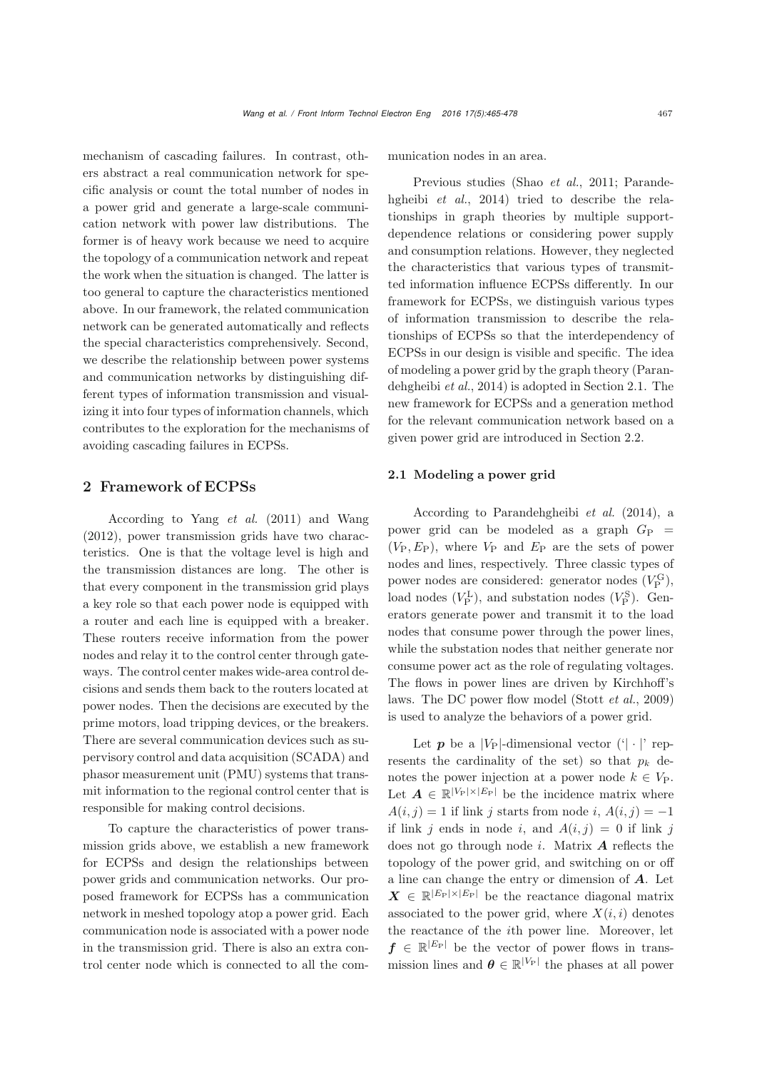mechanism of cascading failures. In contrast, others abstract a real communication network for specific analysis or count the total number of nodes in a power grid and generate a large-scale communication network with power law distributions. The former is of heavy work because we need to acquire the topology of a communication network and repeat the work when the situation is changed. The latter is too general to capture the characteristics mentioned above. In our framework, the related communication network can be generated automatically and reflects the special characteristics comprehensively. Second, we describe the relationship between power systems and communication networks by distinguishing different types of information transmission and visualizing it into four types of information channels, which contributes to the exploration for the mechanisms of avoiding cascading failures in ECPSs.

# 2 Framework of ECPSs

According to Yang *[et al.](#page-13-9)* [\(2011](#page-13-9)) and [Wang](#page-13-14) [\(2012](#page-13-14)), power transmission grids have two characteristics. One is that the voltage level is high and the transmission distances are long. The other is that every component in the transmission grid plays a key role so that each power node is equipped with a router and each line is equipped with a breaker. These routers receive information from the power nodes and relay it to the control center through gateways. The control center makes wide-area control decisions and sends them back to the routers located at power nodes. Then the decisions are executed by the prime motors, load tripping devices, or the breakers. There are several communication devices such as supervisory control and data acquisition (SCADA) and phasor measurement unit (PMU) systems that transmit information to the regional control center that is responsible for making control decisions.

To capture the characteristics of power transmission grids above, we establish a new framework for ECPSs and design the relationships between power grids and communication networks. Our proposed framework for ECPSs has a communication network in meshed topology atop a power grid. Each communication node is associated with a power node in the transmission grid. There is also an extra control center node which is connected to all the communication nodes in an area.

Previous [studies](#page-13-8) [\(Shao](#page-13-8) *[et al.](#page-13-10)*, [2011](#page-13-10); Parandehgheibi *et al.*, [2014](#page-13-8)) tried to describe the relationships in graph theories by multiple supportdependence relations or considering power supply and consumption relations. However, they neglected the characteristics that various types of transmitted information influence ECPSs differently. In our framework for ECPSs, we distinguish various types of information transmission to describe the relationships of ECPSs so that the interdependency of ECPSs in our design is visible and specific. The idea of modeling a p[ower](#page-13-8) [grid](#page-13-8) [by](#page-13-8) [the](#page-13-8) [graph](#page-13-8) [theory](#page-13-8) [\(](#page-13-8)Parandehgheibi *et al.*, [2014\)](#page-13-8) is adopted in Section 2.1. The new framework for ECPSs and a generation method for the relevant communication network based on a given power grid are introduced in Section 2.2.

#### 2.1 Modeling a power grid

According to [Parandehgheibi](#page-13-8) *et al.* [\(2014](#page-13-8)), a power grid can be modeled as a graph  $G_{\rm P}$  =  $(V_P, E_P)$ , where  $V_P$  and  $E_P$  are the sets of power nodes and lines, respectively. Three classic types of power nodes are considered: generator nodes  $(V_P^G)$ , load nodes  $(V_P^{\rm L})$ , and substation nodes  $(V_P^{\rm S})$ . Generators generate power and transmit it to the load nodes that consume power through the power lines, while the substation nodes that neither generate nor consume power act as the role of regulating voltages. The flows in power lines are driven by Kirchhoff's laws. The DC power flow model [\(Stott](#page-13-15) *et al.*, [2009](#page-13-15)) is used to analyze the behaviors of a power grid.

Let  $p$  be a |V<sub>P</sub>|-dimensional vector  $('|\cdot|'$  represents the cardinality of the set) so that  $p_k$  denotes the power injection at a power node  $k \in V_P$ . Let  $A \in \mathbb{R}^{|V_{\text{P}}| \times |E_{\text{P}}|}$  be the incidence matrix where  $A(i, j) = 1$  if link j starts from node i,  $A(i, j) = -1$ if link j ends in node i, and  $A(i, j) = 0$  if link j does not go through node i. Matrix *A* reflects the topology of the power grid, and switching on or off a line can change the entry or dimension of *A*. Let  $X \in \mathbb{R}^{|E_{\text{P}}| \times |E_{\text{P}}|}$  be the reactance diagonal matrix associated to the power grid, where  $X(i, i)$  denotes the reactance of the ith power line. Moreover, let  $f \in \mathbb{R}^{|E_{\text{P}}|}$  be the vector of power flows in transmission lines and  $\boldsymbol{\theta} \in \mathbb{R}^{|V_{\text{P}}|}$  the phases at all power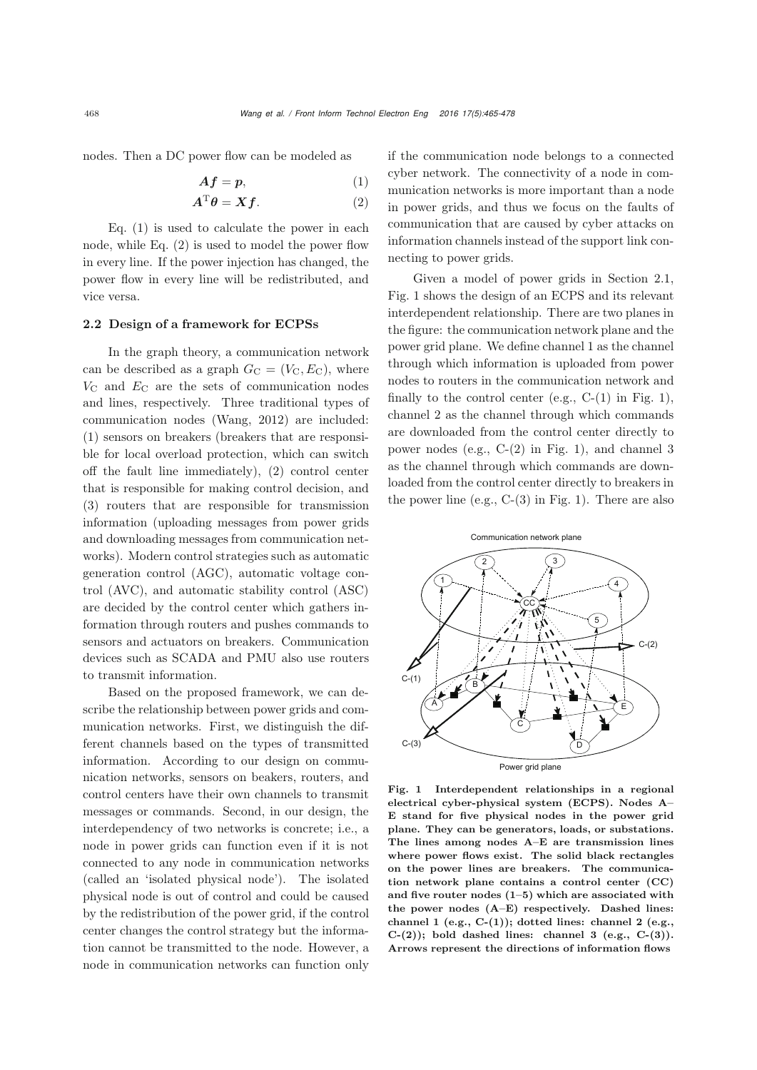nodes. Then a DC power flow can be modeled as

$$
Af = p,\tag{1}
$$

$$
A^{\mathrm{T}}\theta = Xf. \tag{2}
$$

Eq. [\(1\)](#page-3-0) is used to calculate the power in each node, while Eq. [\(2\)](#page-3-1) is used to model the power flow in every line. If the power injection has changed, the power flow in every line will be redistributed, and vice versa.

#### 2.2 Design of a framework for ECPSs

In the graph theory, a communication network can be described as a graph  $G_C = (V_C, E_C)$ , where  $V_{\rm C}$  and  $E_{\rm C}$  are the sets of communication nodes and lines, respectively. Three traditional types of communication nodes [\(Wang](#page-13-14), [2012](#page-13-14)) are included: (1) sensors on breakers (breakers that are responsible for local overload protection, which can switch off the fault line immediately), (2) control center that is responsible for making control decision, and (3) routers that are responsible for transmission information (uploading messages from power grids and downloading messages from communication networks). Modern control strategies such as automatic generation control (AGC), automatic voltage control (AVC), and automatic stability control (ASC) are decided by the control center which gathers information through routers and pushes commands to sensors and actuators on breakers. Communication devices such as SCADA and PMU also use routers to transmit information.

Based on the proposed framework, we can describe the relationship between power grids and communication networks. First, we distinguish the different channels based on the types of transmitted information. According to our design on communication networks, sensors on beakers, routers, and control centers have their own channels to transmit messages or commands. Second, in our design, the interdependency of two networks is concrete; i.e., a node in power grids can function even if it is not connected to any node in communication networks (called an 'isolated physical node'). The isolated physical node is out of control and could be caused by the redistribution of the power grid, if the control center changes the control strategy but the information cannot be transmitted to the node. However, a node in communication networks can function only

<span id="page-3-1"></span><span id="page-3-0"></span>if the communication node belongs to a connected cyber network. The connectivity of a node in communication networks is more important than a node in power grids, and thus we focus on the faults of communication that are caused by cyber attacks on information channels instead of the support link connecting to power grids.

Given a model of power grids in Section 2.1, Fig. [1](#page-3-2) shows the design of an ECPS and its relevant interdependent relationship. There are two planes in the figure: the communication network plane and the power grid plane. We define channel 1 as the channel through which information is uploaded from power nodes to routers in the communication network and finally to the control center (e.g.,  $C-(1)$  in Fig. [1\)](#page-3-2), channel 2 as the channel through which commands are downloaded from the control center directly to power nodes (e.g., C-(2) in Fig. [1\)](#page-3-2), and channel 3 as the channel through which commands are downloaded from the control center directly to breakers in the power line (e.g.,  $C-(3)$  in Fig. [1\)](#page-3-2). There are also



<span id="page-3-2"></span>Fig. 1 Interdependent relationships in a regional electrical cyber-physical system (ECPS). Nodes A– E stand for five physical nodes in the power grid plane. They can be generators, loads, or substations. The lines among nodes A–E are transmission lines where power flows exist. The solid black rectangles on the power lines are breakers. The communication network plane contains a control center (CC) and five router nodes  $(1-5)$  which are associated with the power nodes (A–E) respectively. Dashed lines: channel 1 (e.g.,  $C-(1)$ ); dotted lines: channel 2 (e.g.,  $C-(2)$ ; bold dashed lines: channel 3 (e.g.,  $C-(3)$ ). Arrows represent the directions of information flows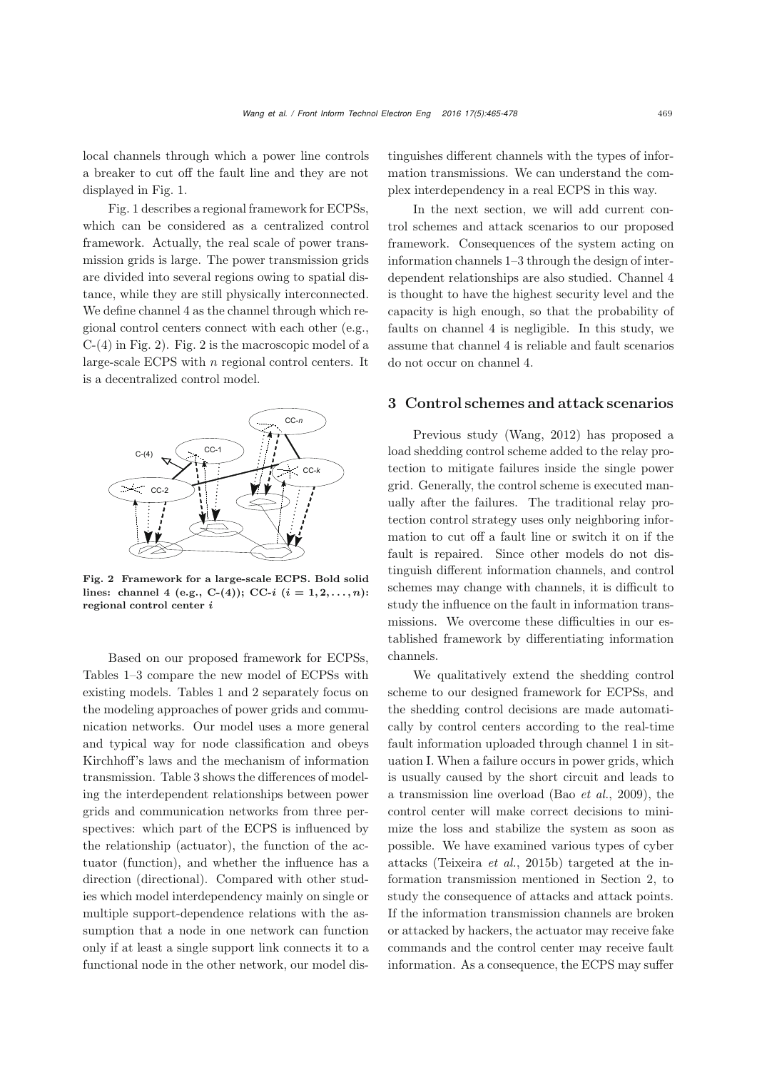local channels through which a power line controls a breaker to cut off the fault line and they are not displayed in Fig. 1.

Fig. [1](#page-3-2) describes a regional framework for ECPSs, which can be considered as a centralized control framework. Actually, the real scale of power transmission grids is large. The power transmission grids are divided into several regions owing to spatial distance, while they are still physically interconnected. We define channel 4 as the channel through which regional control centers connect with each other (e.g.,  $C-(4)$  in Fig. [2\)](#page-4-0). Fig. [2](#page-4-0) is the macroscopic model of a large-scale ECPS with  $n$  regional control centers. It is a decentralized control model.



<span id="page-4-0"></span>Fig. 2 Framework for a large-scale ECPS. Bold solid lines: channel 4 (e.g., C-(4)); CC-*i* ( $i = 1, 2, ..., n$ ): regional control center *i*

Based on our proposed framework for ECPSs, Tables [1](#page-5-0)[–3](#page-5-1) compare the new model of ECPSs with existing models. Tables [1](#page-5-0) and [2](#page-5-2) separately focus on the modeling approaches of power grids and communication networks. Our model uses a more general and typical way for node classification and obeys Kirchhoff's laws and the mechanism of information transmission. Table [3](#page-5-1) shows the differences of modeling the interdependent relationships between power grids and communication networks from three perspectives: which part of the ECPS is influenced by the relationship (actuator), the function of the actuator (function), and whether the influence has a direction (directional). Compared with other studies which model interdependency mainly on single or multiple support-dependence relations with the assumption that a node in one network can function only if at least a single support link connects it to a functional node in the other network, our model distinguishes different channels with the types of information transmissions. We can understand the complex interdependency in a real ECPS in this way.

In the next section, we will add current control schemes and attack scenarios to our proposed framework. Consequences of the system acting on information channels 1–3 through the design of interdependent relationships are also studied. Channel 4 is thought to have the highest security level and the capacity is high enough, so that the probability of faults on channel 4 is negligible. In this study, we assume that channel 4 is reliable and fault scenarios do not occur on channel 4.

# 3 Control schemes and attack scenarios

Previous study [\(Wang](#page-13-14), [2012](#page-13-14)) has proposed a load shedding control scheme added to the relay protection to mitigate failures inside the single power grid. Generally, the control scheme is executed manually after the failures. The traditional relay protection control strategy uses only neighboring information to cut off a fault line or switch it on if the fault is repaired. Since other models do not distinguish different information channels, and control schemes may change with channels, it is difficult to study the influence on the fault in information transmissions. We overcome these difficulties in our established framework by differentiating information channels.

We qualitatively extend the shedding control scheme to our designed framework for ECPSs, and the shedding control decisions are made automatically by control centers according to the real-time fault information uploaded through channel 1 in situation I. When a failure occurs in power grids, which is usually caused by the short circuit and leads to a transmission line overload (Bao *[et al.](#page-13-16)*, [2009\)](#page-13-16), the control center will make correct decisions to minimize the loss and stabilize the system as soon as possible. We have examined various types of cyber attacks [\(Teixeira](#page-13-17) *et al.*, [2015b](#page-13-17)) targeted at the information transmission mentioned in Section 2, to study the consequence of attacks and attack points. If the information transmission channels are broken or attacked by hackers, the actuator may receive fake commands and the control center may receive fault information. As a consequence, the ECPS may suffer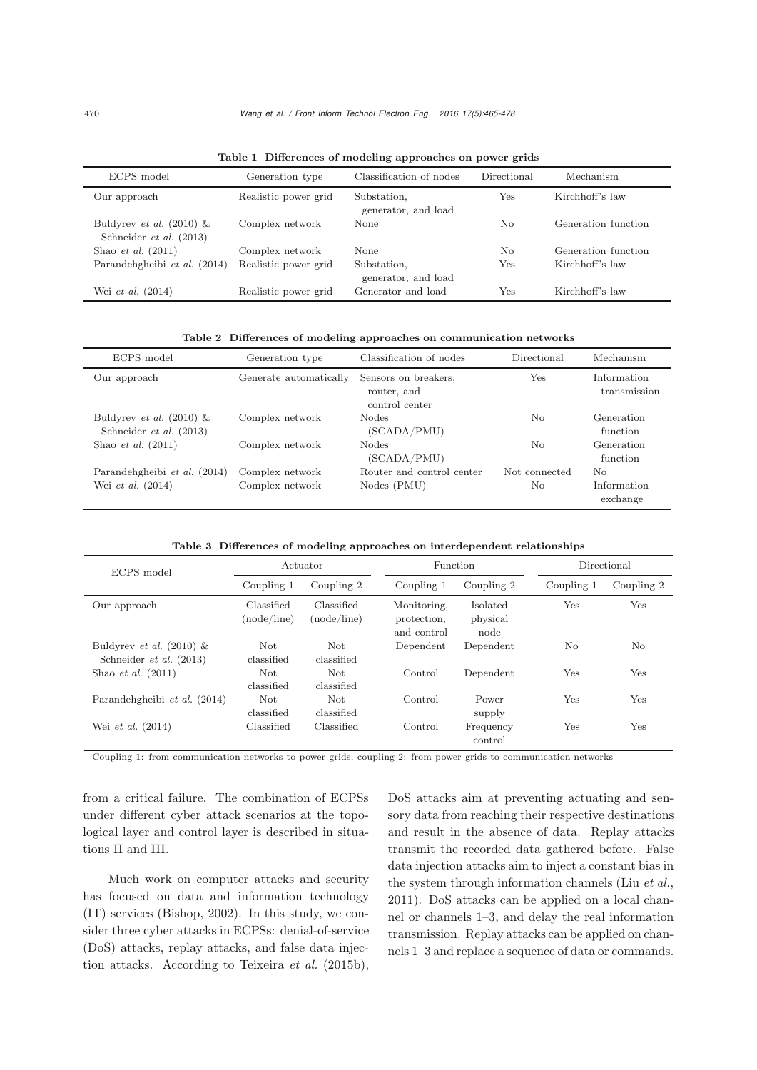| ECPS model                                                            | Generation type      | Classification of nodes            | Directional  | Mechanism           |
|-----------------------------------------------------------------------|----------------------|------------------------------------|--------------|---------------------|
| Our approach                                                          | Realistic power grid | Substation,<br>generator, and load | Yes          | Kirchhoff's law     |
| Buldyrev <i>et al.</i> $(2010)$ &<br>Schneider <i>et al.</i> $(2013)$ | Complex network      | None                               | No           | Generation function |
| Shao <i>et al.</i> $(2011)$                                           | Complex network      | None                               | No           | Generation function |
| Parandehgheibi et al. (2014)                                          | Realistic power grid | Substation,<br>generator, and load | $_{\rm Yes}$ | Kirchhoff's law     |
| Wei <i>et al.</i> $(2014)$                                            | Realistic power grid | Generator and load                 | Yes          | Kirchhoff's law     |

<span id="page-5-0"></span>Table 1 Differences of modeling approaches on power grids

<span id="page-5-2"></span>Table 2 Differences of modeling approaches on communication networks

| ECPS model                                                     | Generation type        | Classification of nodes                               | Directional   | Mechanism                   |
|----------------------------------------------------------------|------------------------|-------------------------------------------------------|---------------|-----------------------------|
| Our approach                                                   | Generate automatically | Sensors on breakers,<br>router, and<br>control center | Yes           | Information<br>transmission |
| Buldyrev <i>et al.</i> $(2010)$ &<br>Schneider et al. $(2013)$ | Complex network        | <b>Nodes</b><br>(SCADA/PMU)                           | No            | Generation<br>function      |
| Shao <i>et al.</i> $(2011)$                                    | Complex network        | <b>Nodes</b><br>(SCADA/PMU)                           | No            | Generation<br>function      |
| Parandehgheibi et al.<br>(2014)                                | Complex network        | Router and control center                             | Not connected | No                          |
| Wei <i>et al.</i> $(2014)$                                     | Complex network        | Nodes (PMU)                                           | No.           | Information<br>exchange     |

<span id="page-5-1"></span>

|  |  | Table 3 Differences of modeling approaches on interdependent relationships |
|--|--|----------------------------------------------------------------------------|
|  |  |                                                                            |

| ECPS model                                                      | Actuator                  |                           | <b>Function</b>                           |                              | Directional |            |
|-----------------------------------------------------------------|---------------------------|---------------------------|-------------------------------------------|------------------------------|-------------|------------|
|                                                                 | Coupling 1                | Coupling 2                | Coupling 1                                | Coupling 2                   | Coupling 1  | Coupling 2 |
| Our approach                                                    | Classified<br>(node(line) | Classified<br>(node/line) | Monitoring.<br>protection,<br>and control | Isolated<br>physical<br>node | Yes         | Yes        |
| Buldyrev <i>et al.</i> (2010) $\&$<br>Schneider et al. $(2013)$ | Not<br>classified         | Not.<br>classified        | Dependent                                 | Dependent                    | No          | No         |
| Shao <i>et al.</i> $(2011)$                                     | Not.<br>classified        | Not.<br>classified        | Control                                   | Dependent                    | Yes         | Yes        |
| Parandehgheibi et al. (2014)                                    | Not<br>classified         | Not.<br>classified        | Control                                   | Power<br>supply              | Yes         | Yes        |
| Wei <i>et al.</i> $(2014)$                                      | Classified                | Classified                | Control                                   | Frequency<br>control         | Yes         | Yes        |

Coupling 1: from communication networks to power grids; coupling 2: from power grids to communication networks

from a critical failure. The combination of ECPSs under different cyber attack scenarios at the topological layer and control layer is described in situations II and III.

Much work on computer attacks and security has focused on data and information technology (IT) services [\(Bishop](#page-13-18), [2002\)](#page-13-18). In this study, we consider three cyber attacks in ECPSs: denial-of-service (DoS) attacks, replay attacks, and false data injection attacks. According to [Teixeira](#page-13-17) *et al.* [\(2015b\)](#page-13-17),

DoS attacks aim at preventing actuating and sensory data from reaching their respective destinations and result in the absence of data. Replay attacks transmit the recorded data gathered before. False data injection attacks aim to inject a constant bias in the system through information channels (Liu *[et al.](#page-13-19)*, [2011](#page-13-19)). DoS attacks can be applied on a local channel or channels 1–3, and delay the real information transmission. Replay attacks can be applied on channels 1–3 and replace a sequence of data or commands.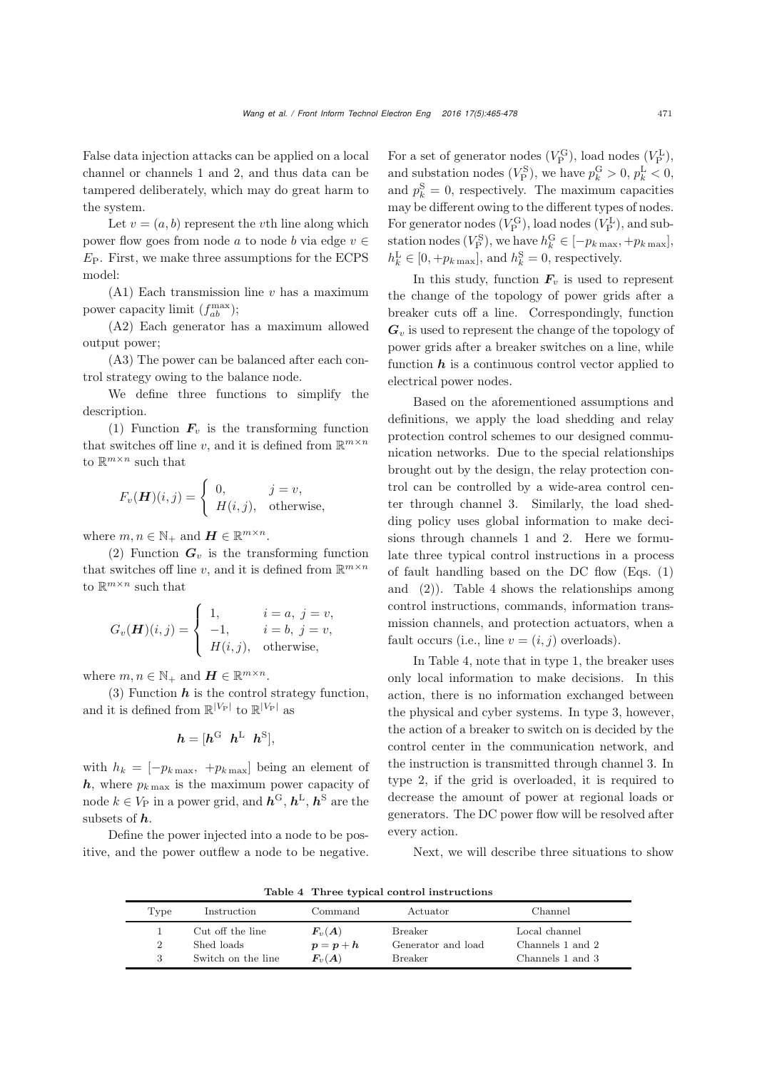False data injection attacks can be applied on a local channel or channels 1 and 2, and thus data can be tampered deliberately, which may do great harm to the system.

Let  $v = (a, b)$  represent the vth line along which power flow goes from node a to node b via edge  $v \in$  $E_{\rm P}$ . First, we make three assumptions for the ECPS model:

 $(A1)$  Each transmission line v has a maximum power capacity limit  $(f_{ab}^{\max})$ ;

(A2) Each generator has a maximum allowed output power;

(A3) The power can be balanced after each control strategy owing to the balance node.

We define three functions to simplify the description.

(1) Function  $\mathbf{F}_v$  is the transforming function that switches off line v, and it is defined from  $\mathbb{R}^{m \times n}$ to  $\mathbb{R}^{m \times n}$  such that

$$
F_v(\boldsymbol{H})(i,j) = \begin{cases} 0, & j = v, \\ H(i,j), & \text{otherwise,} \end{cases}
$$

where  $m, n \in \mathbb{N}_+$  and  $\mathbf{H} \in \mathbb{R}^{m \times n}$ .

(2) Function  $G_v$  is the transforming function that switches off line v, and it is defined from  $\mathbb{R}^{m \times n}$ to  $\mathbb{R}^{m \times n}$  such that

$$
G_v(\boldsymbol{H})(i,j) = \begin{cases} 1, & i = a, j = v, \\ -1, & i = b, j = v, \\ H(i,j), & \text{otherwise,} \end{cases}
$$

where  $m, n \in \mathbb{N}_+$  and  $\mathbf{H} \in \mathbb{R}^{m \times n}$ .

 $(3)$  Function  $h$  is the control strategy function, and it is defined from  $\mathbb{R}^{|V_{\rm P}|}$  to  $\mathbb{R}^{|V_{\rm P}|}$  as

$$
h=[h^{\rm G} \;\; h^{\rm L} \;\; h^{\rm S}],
$$

with  $h_k = [-p_{k\max}, +p_{k\max}]$  being an element of  $h$ , where  $p_{k \max}$  is the maximum power capacity of node  $k \in V_P$  in a power grid, and  $h^G, h^L, h^S$  are the subsets of *h*.

Define the power injected into a node to be positive, and the power outflew a node to be negative.

For a set of generator nodes  $(V_P^G)$ , load nodes  $(V_P^L)$ , and substation nodes  $(V_{\rm P}^{\rm S})$ , we have  $p_k^{\rm G} > 0$ ,  $p_k^{\rm L} < 0$ , and  $p_k^{\rm S} = 0$ , respectively. The maximum capacities may be different owing to the different types of nodes. For generator nodes  $(V_P^G)$ , load nodes  $(V_P^L)$ , and substation nodes  $(V_P^{\rm S})$ , we have  $h_k^{\rm G} \in [-p_{k\max}, +p_{k\max}]$ ,  $h_k^{\text{L}} \in [0, +p_{k\max}]$ , and  $h_k^{\text{S}} = 0$ , respectively.

In this study, function  $\mathbf{F}_v$  is used to represent the change of the topology of power grids after a breaker cuts off a line. Correspondingly, function  $G_v$  is used to represent the change of the topology of power grids after a breaker switches on a line, while function  $h$  is a continuous control vector applied to electrical power nodes.

Based on the aforementioned assumptions and definitions, we apply the load shedding and relay protection control schemes to our designed communication networks. Due to the special relationships brought out by the design, the relay protection control can be controlled by a wide-area control center through channel 3. Similarly, the load shedding policy uses global information to make decisions through channels 1 and 2. Here we formulate three typical control instructions in a process of fault handling based on the DC flow (Eqs. [\(1\)](#page-3-0) and [\(2\)](#page-3-1)). Table 4 shows the relationships among control instructions, commands, information transmission channels, and protection actuators, when a fault occurs (i.e., line  $v = (i, j)$  overloads).

In Table 4, note that in type 1, the breaker uses only local information to make decisions. In this action, there is no information exchanged between the physical and cyber systems. In type 3, however, the action of a breaker to switch on is decided by the control center in the communication network, and the instruction is transmitted through channel 3. In type 2, if the grid is overloaded, it is required to decrease the amount of power at regional loads or generators. The DC power flow will be resolved after every action.

Next, we will describe three situations to show

| Type | Instruction        | Command                            | Actuator           | Channel          |
|------|--------------------|------------------------------------|--------------------|------------------|
|      | Cut off the line   | $\boldsymbol{F}_v(\boldsymbol{A})$ | <b>Breaker</b>     | Local channel    |
|      | Shed loads         | $p = p + h$                        | Generator and load | Channels 1 and 2 |
|      | Switch on the line | $\boldsymbol{F}_v(\boldsymbol{A})$ | <b>Breaker</b>     | Channels 1 and 3 |

Table 4 Three typical control instructions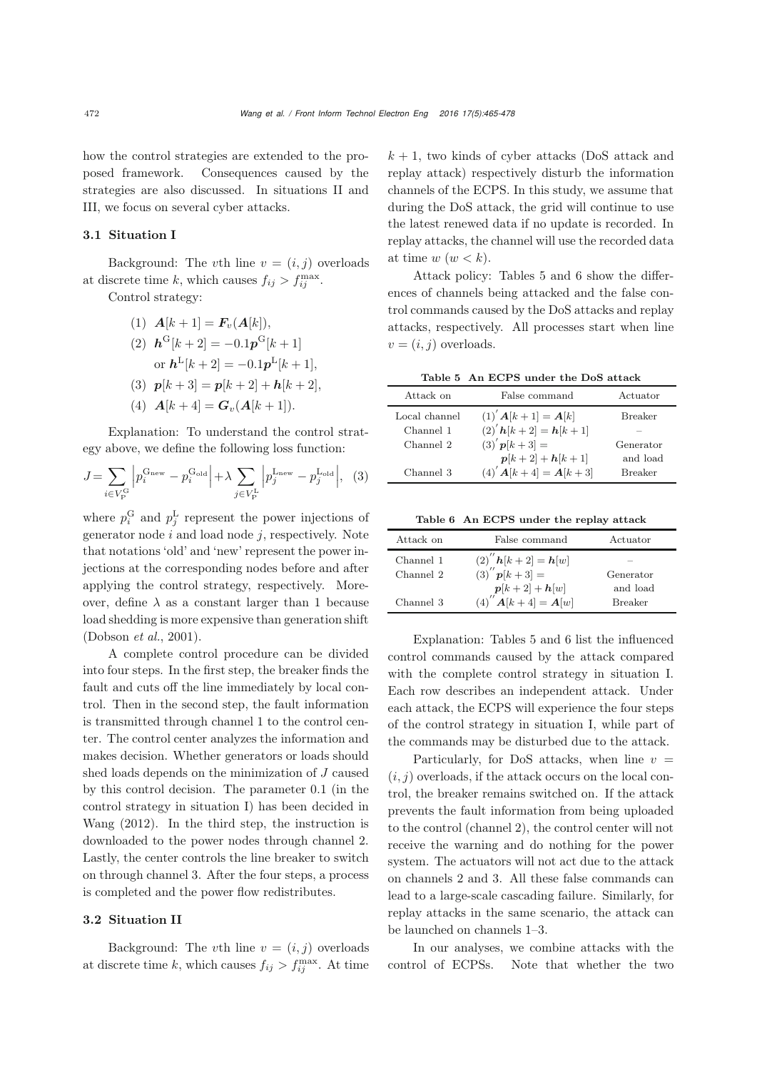how the control strategies are extended to the proposed framework. Consequences caused by the strategies are also discussed. In situations II and III, we focus on several cyber attacks.

## 3.1 Situation I

Background: The vth line  $v = (i, j)$  overloads at discrete time k, which causes  $f_{ij} > f_{ij}^{\max}$ .

Control strategy:

(1) 
$$
A[k+1] = \mathbf{F}_v(A[k]),
$$
  
\n(2)  $\mathbf{h}^G[k+2] = -0.1\mathbf{p}^G[k+1]$   
\nor  $\mathbf{h}^L[k+2] = -0.1\mathbf{p}^L[k+1],$   
\n(3)  $\mathbf{p}[k+3] = \mathbf{p}[k+2] + \mathbf{h}[k+2],$   
\n(4)  $A[k+4] = \mathbf{G}_v(A[k+1]).$ 

Explanation: To understand the control strategy above, we define the following loss function:

$$
J = \sum_{i \in V_{\mathcal{P}}^{\mathcal{G}}} \left| p_i^{\mathcal{G}_{\text{new}}} - p_i^{\mathcal{G}_{\text{old}}}\right| + \lambda \sum_{j \in V_{\mathcal{P}}^{\mathcal{L}}} \left| p_j^{\mathcal{L}_{\text{new}}} - p_j^{\mathcal{L}_{\text{old}}}\right|, (3)
$$

where  $p_i^{\rm G}$  and  $p_j^{\rm L}$  represent the power injections of generator node  $i$  and load node  $j$ , respectively. Note that notations 'old' and 'new' represent the power injections at the corresponding nodes before and after applying the control strategy, respectively. Moreover, define  $\lambda$  as a constant larger than 1 because load shedding is more expensive than generation shift [\(Dobson](#page-13-20) *et al.*, [2001](#page-13-20)).

A complete control procedure can be divided into four steps. In the first step, the breaker finds the fault and cuts off the line immediately by local control. Then in the second step, the fault information is transmitted through channel 1 to the control center. The control center analyzes the information and makes decision. Whether generators or loads should shed loads depends on the minimization of  $J$  caused by this control decision. The parameter 0.1 (in the control strategy in situation I) has been decided in [Wang](#page-13-14) [\(2012](#page-13-14)). In the third step, the instruction is downloaded to the power nodes through channel 2. Lastly, the center controls the line breaker to switch on through channel 3. After the four steps, a process is completed and the power flow redistributes.

#### 3.2 Situation II

Background: The vth line  $v = (i, j)$  overloads at discrete time k, which causes  $f_{ij} > f_{ij}^{\max}$ . At time

 $k + 1$ , two kinds of cyber attacks (DoS attack and replay attack) respectively disturb the information channels of the ECPS. In this study, we assume that during the DoS attack, the grid will continue to use the latest renewed data if no update is recorded. In replay attacks, the channel will use the recorded data at time  $w (w < k)$ .

Attack policy: Tables 5 and 6 show the differences of channels being attacked and the false control commands caused by the DoS attacks and replay attacks, respectively. All processes start when line  $v = (i, j)$  overloads.

Table 5 An ECPS under the DoS attack

| Attack on     | False command                              | Actuator       |
|---------------|--------------------------------------------|----------------|
| Local channel | $(1)'$ $A[k+1] = A[k]$                     | <b>Breaker</b> |
| Channel 1     | $(2)'$ <b>h</b> $[k+2] =$ <b>h</b> $[k+1]$ |                |
| Channel 2     | $(3)'$ <b>p</b> $[k+3] =$                  | Generator      |
|               | $p[k+2]+h[k+1]$                            | and load       |
| Channel 3     | $(4)'$ $A[k+4] = A[k+3]$                   | <b>Breaker</b> |

Table 6 An ECPS under the replay attack

| Attack on | False command                                 | Actuator       |
|-----------|-----------------------------------------------|----------------|
| Channel 1 | $(2)'' h[k+2] = h[w]$                         |                |
| Channel 2 | $(3)'' p[k+3] =$                              | Generator      |
|           | $p[k+2]+h[w]$                                 | and load       |
| Channel 3 | $(4)''$ <b>A</b> [ $k+4$ ] = <b>A</b> [ $w$ ] | <b>Breaker</b> |

Explanation: Tables 5 and 6 list the influenced control commands caused by the attack compared with the complete control strategy in situation I. Each row describes an independent attack. Under each attack, the ECPS will experience the four steps of the control strategy in situation I, while part of the commands may be disturbed due to the attack.

Particularly, for DoS attacks, when line  $v =$  $(i, j)$  overloads, if the attack occurs on the local control, the breaker remains switched on. If the attack prevents the fault information from being uploaded to the control (channel 2), the control center will not receive the warning and do nothing for the power system. The actuators will not act due to the attack on channels 2 and 3. All these false commands can lead to a large-scale cascading failure. Similarly, for replay attacks in the same scenario, the attack can be launched on channels 1–3.

In our analyses, we combine attacks with the control of ECPSs. Note that whether the two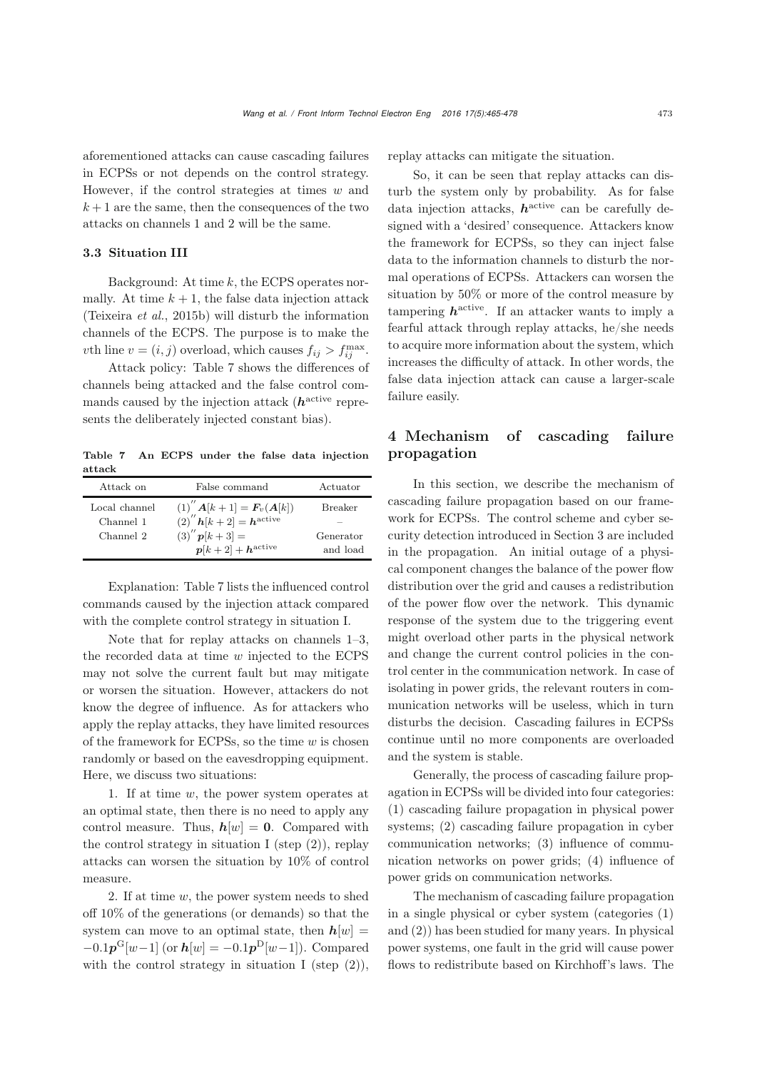aforementioned attacks can cause cascading failures in ECPSs or not depends on the control strategy. However, if the control strategies at times  $w$  and  $k+1$  are the same, then the consequences of the two attacks on channels 1 and 2 will be the same.

# 3.3 Situation III

Background: At time  $k$ , the ECPS operates normally. At time  $k + 1$ , the false data injection attack [\(Teixeira](#page-13-17) *et al.*, [2015b\)](#page-13-17) will disturb the information channels of the ECPS. The purpose is to make the *v*th line  $v = (i, j)$  overload, which causes  $f_{ij} > f_{ij}^{\max}$ .

Attack policy: Table 7 shows the differences of channels being attacked and the false control commands caused by the injection attack ( $h^{\text{active}}$  represents the deliberately injected constant bias).

Table 7 An ECPS under the false data injection attack

| Attack on     | False command                      | Actuator  |
|---------------|------------------------------------|-----------|
| Local channel | $(1)'' A[k+1] = F_v(A[k])$         | Breaker   |
| Channel 1     | $(2)'' h[k+2] = h^{\text{active}}$ |           |
| Channel 2     | $(3)'' p[k+3] =$                   | Generator |
|               | $p[k+2]+h^{\text{active}}$         | and load  |

Explanation: Table 7 lists the influenced control commands caused by the injection attack compared with the complete control strategy in situation I.

Note that for replay attacks on channels 1–3, the recorded data at time  $w$  injected to the ECPS may not solve the current fault but may mitigate or worsen the situation. However, attackers do not know the degree of influence. As for attackers who apply the replay attacks, they have limited resources of the framework for ECPSs, so the time  $w$  is chosen randomly or based on the eavesdropping equipment. Here, we discuss two situations:

1. If at time w, the power system operates at an optimal state, then there is no need to apply any control measure. Thus,  $h[w] = 0$ . Compared with the control strategy in situation I (step  $(2)$ ), replay attacks can worsen the situation by 10% of control measure.

2. If at time w, the power system needs to shed off 10% of the generations (or demands) so that the system can move to an optimal state, then  $h[w] =$  $-0.1p^{G}[w-1]$  (or  $h[w] = -0.1p^{D}[w-1]$ ). Compared with the control strategy in situation I (step  $(2)$ ),

replay attacks can mitigate the situation.

So, it can be seen that replay attacks can disturb the system only by probability. As for false data injection attacks,  $h^{\text{active}}$  can be carefully designed with a 'desired' consequence. Attackers know the framework for ECPSs, so they can inject false data to the information channels to disturb the normal operations of ECPSs. Attackers can worsen the situation by 50% or more of the control measure by tampering  $h^{\text{active}}$ . If an attacker wants to imply a fearful attack through replay attacks, he/she needs to acquire more information about the system, which increases the difficulty of attack. In other words, the false data injection attack can cause a larger-scale failure easily.

# 4 Mechanism of cascading failure propagation

In this section, we describe the mechanism of cascading failure propagation based on our framework for ECPSs. The control scheme and cyber security detection introduced in Section 3 are included in the propagation. An initial outage of a physical component changes the balance of the power flow distribution over the grid and causes a redistribution of the power flow over the network. This dynamic response of the system due to the triggering event might overload other parts in the physical network and change the current control policies in the control center in the communication network. In case of isolating in power grids, the relevant routers in communication networks will be useless, which in turn disturbs the decision. Cascading failures in ECPSs continue until no more components are overloaded and the system is stable.

Generally, the process of cascading failure propagation in ECPSs will be divided into four categories: (1) cascading failure propagation in physical power systems; (2) cascading failure propagation in cyber communication networks; (3) influence of communication networks on power grids; (4) influence of power grids on communication networks.

The mechanism of cascading failure propagation in a single physical or cyber system (categories (1) and (2)) has been studied for many years. In physical power systems, one fault in the grid will cause power flows to redistribute based on Kirchhoff's laws. The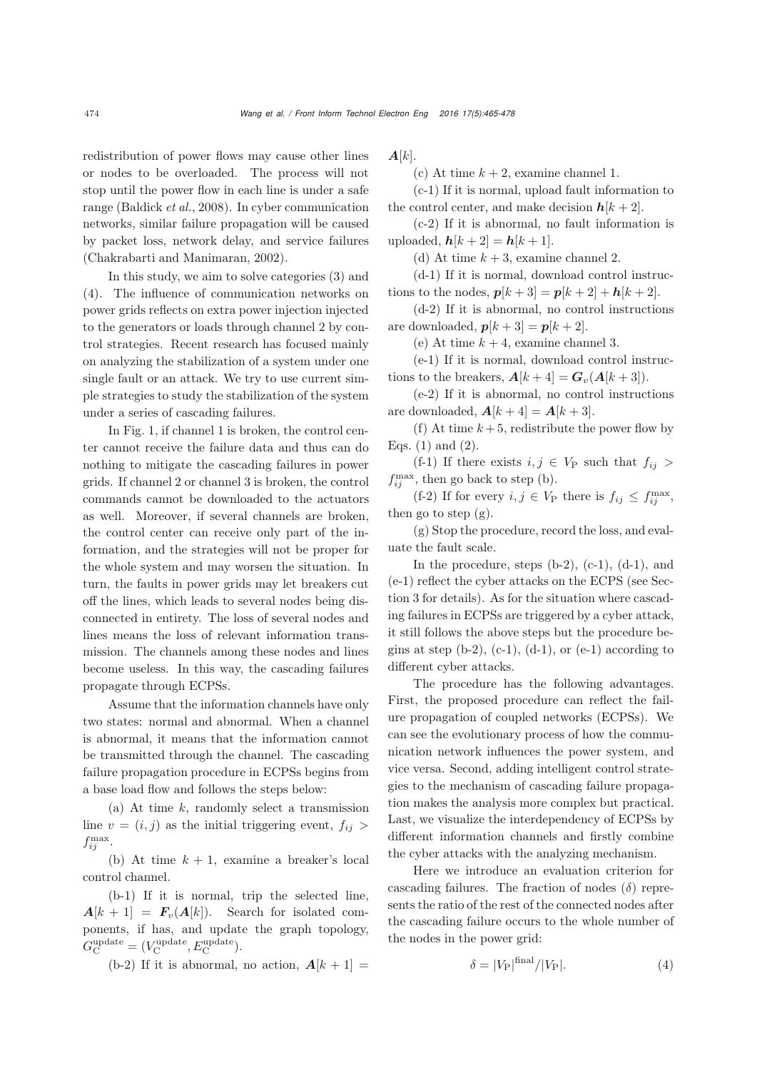redistribution of power flows may cause other lines or nodes to be overloaded. The process will not stop until the power flow in each line is under a safe range [\(Baldick](#page-13-21) *et al.*, [2008](#page-13-21)). In cyber communication networks, similar failure propagation will be caused by packet loss, network delay, and service failures [\(Chakrabarti and Manimaran](#page-13-22), [2002\)](#page-13-22).

In this study, we aim to solve categories (3) and (4). The influence of communication networks on power grids reflects on extra power injection injected to the generators or loads through channel 2 by control strategies. Recent research has focused mainly on analyzing the stabilization of a system under one single fault or an attack. We try to use current simple strategies to study the stabilization of the system under a series of cascading failures.

In Fig. 1, if channel 1 is broken, the control center cannot receive the failure data and thus can do nothing to mitigate the cascading failures in power grids. If channel 2 or channel 3 is broken, the control commands cannot be downloaded to the actuators as well. Moreover, if several channels are broken, the control center can receive only part of the information, and the strategies will not be proper for the whole system and may worsen the situation. In turn, the faults in power grids may let breakers cut off the lines, which leads to several nodes being disconnected in entirety. The loss of several nodes and lines means the loss of relevant information transmission. The channels among these nodes and lines become useless. In this way, the cascading failures propagate through ECPSs.

Assume that the information channels have only two states: normal and abnormal. When a channel is abnormal, it means that the information cannot be transmitted through the channel. The cascading failure propagation procedure in ECPSs begins from a base load flow and follows the steps below:

(a) At time  $k$ , randomly select a transmission line  $v = (i, j)$  as the initial triggering event,  $f_{ij}$  $f_{ij}^{\max}$ .

(b) At time  $k + 1$ , examine a breaker's local control channel.

(b-1) If it is normal, trip the selected line,  $A[k+1] = F_v(A[k])$ . Search for isolated components, if has, and update the graph topology,  $G_{\rm C}^{\rm update} = (V_{\rm C}^{\rm update}, E_{\rm C}^{\rm update}).$ 

(b-2) If it is abnormal, no action,  $A[k+1] =$ 

 $\boldsymbol{A}[k]$ .

(c) At time  $k + 2$ , examine channel 1.

(c-1) If it is normal, upload fault information to the control center, and make decision  $h[k+2]$ .

(c-2) If it is abnormal, no fault information is uploaded,  $h[k + 2] = h[k + 1]$ .

(d) At time  $k + 3$ , examine channel 2.

(d-1) If it is normal, download control instructions to the nodes,  $p[k+3] = p[k+2] + h[k+2]$ .

(d-2) If it is abnormal, no control instructions are downloaded,  $p[k+3] = p[k+2]$ .

(e) At time  $k + 4$ , examine channel 3.

(e-1) If it is normal, download control instructions to the breakers,  $A[k+4] = G_v(A[k+3]).$ 

(e-2) If it is abnormal, no control instructions are downloaded,  $\mathbf{A}[k+4] = \mathbf{A}[k+3]$ .

(f) At time  $k+5$ , redistribute the power flow by Eqs. (1) and (2).

(f-1) If there exists  $i, j \in V_P$  such that  $f_{ij} >$  $f_{ij}^{\text{max}}$ , then go back to step (b).

(f-2) If for every  $i, j \in V_{\rm P}$  there is  $f_{ij} \leq f_{ij}^{\max}$ , then go to step (g).

(g) Stop the procedure, record the loss, and evaluate the fault scale.

In the procedure, steps  $(b-2)$ ,  $(c-1)$ ,  $(d-1)$ , and (e-1) reflect the cyber attacks on the ECPS (see Section 3 for details). As for the situation where cascading failures in ECPSs are triggered by a cyber attack, it still follows the above steps but the procedure begins at step  $(b-2)$ ,  $(c-1)$ ,  $(d-1)$ , or  $(e-1)$  according to different cyber attacks.

The procedure has the following advantages. First, the proposed procedure can reflect the failure propagation of coupled networks (ECPSs). We can see the evolutionary process of how the communication network influences the power system, and vice versa. Second, adding intelligent control strategies to the mechanism of cascading failure propagation makes the analysis more complex but practical. Last, we visualize the interdependency of ECPSs by different information channels and firstly combine the cyber attacks with the analyzing mechanism.

Here we introduce an evaluation criterion for cascading failures. The fraction of nodes  $(\delta)$  represents the ratio of the rest of the connected nodes after the cascading failure occurs to the whole number of the nodes in the power grid:

$$
\delta = |V_{\rm P}|^{\text{final}} / |V_{\rm P}|. \tag{4}
$$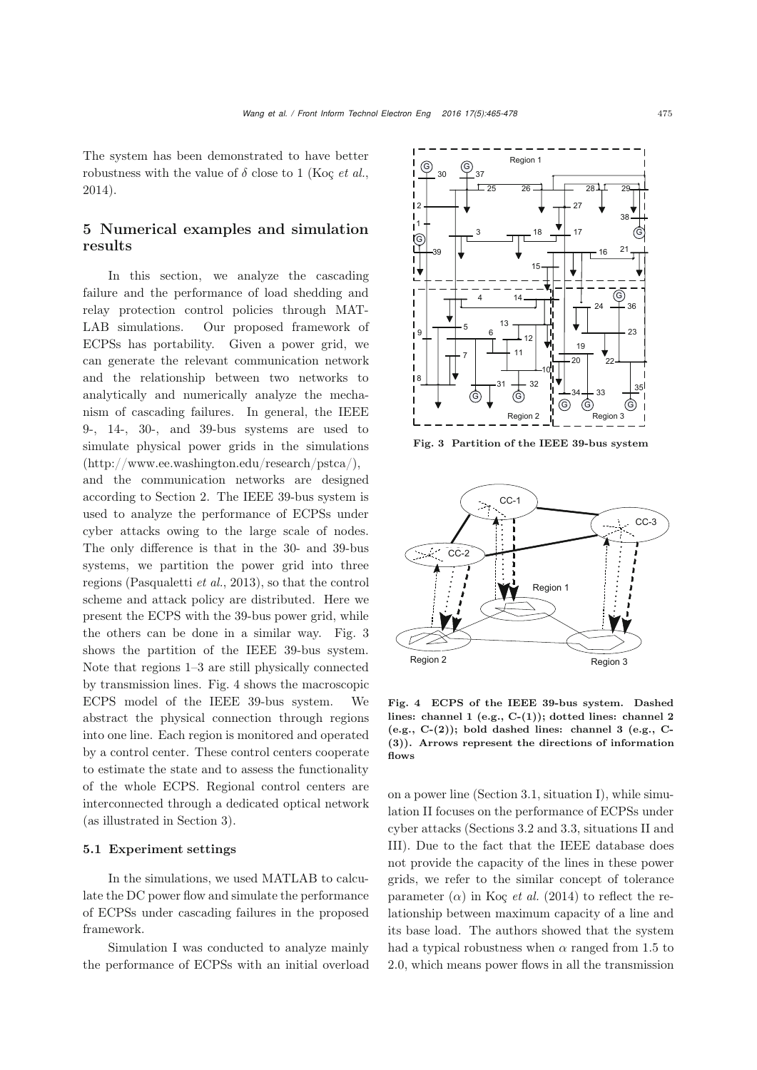The system has been demonstrated to have better robustness with the value of  $\delta$  close to 1 (Koc *[et al.](#page-13-23)*, [2014](#page-13-23)).

# 5 Numerical examples and simulation results

In this section, we analyze the cascading failure and the performance of load shedding and relay protection control policies through MAT-LAB simulations. Our proposed framework of ECPSs has portability. Given a power grid, we can generate the relevant communication network and the relationship between two networks to analytically and numerically analyze the mechanism of cascading failures. In general, the IEEE 9-, 14-, 30-, and 39-bus systems are used to simulate physical power grids in the simulations (http://www.ee.washington.edu/research/pstca/), and the communication networks are designed according to Section 2. The IEEE 39-bus system is used to analyze the performance of ECPSs under cyber attacks owing to the large scale of nodes. The only difference is that in the 30- and 39-bus systems, we partition the power grid into three regions [\(Pasqualetti](#page-13-24) *et al.*, [2013](#page-13-24)), so that the control scheme and attack policy are distributed. Here we present the ECPS with the 39-bus power grid, while the others can be done in a similar way. Fig. 3 shows the partition of the IEEE 39-bus system. Note that regions 1–3 are still physically connected by transmission lines. Fig. 4 shows the macroscopic ECPS model of the IEEE 39-bus system. We abstract the physical connection through regions into one line. Each region is monitored and operated by a control center. These control centers cooperate to estimate the state and to assess the functionality of the whole ECPS. Regional control centers are interconnected through a dedicated optical network (as illustrated in Section 3).

#### 5.1 Experiment settings

In the simulations, we used MATLAB to calculate the DC power flow and simulate the performance of ECPSs under cascading failures in the proposed framework.

Simulation I was conducted to analyze mainly the performance of ECPSs with an initial overload



Fig. 3 Partition of the IEEE 39-bus system



Fig. 4 ECPS of the IEEE 39-bus system. Dashed lines: channel 1 (e.g., C-(1)); dotted lines: channel 2 (e.g.,  $C-(2)$ ); bold dashed lines: channel 3 (e.g.,  $C$ -(3)). Arrows represent the directions of information flows

on a power line (Section 3.1, situation I), while simulation II focuses on the performance of ECPSs under cyber attacks (Sections 3.2 and 3.3, situations II and III). Due to the fact that the IEEE database does not provide the capacity of the lines in these power grids, we refer to the similar concept of tolerance parameter  $(\alpha)$  in Ko<sub>c</sub> *[et al.](#page-13-23)* [\(2014\)](#page-13-23) to reflect the relationship between maximum capacity of a line and its base load. The authors showed that the system had a typical robustness when  $\alpha$  ranged from 1.5 to 2.0, which means power flows in all the transmission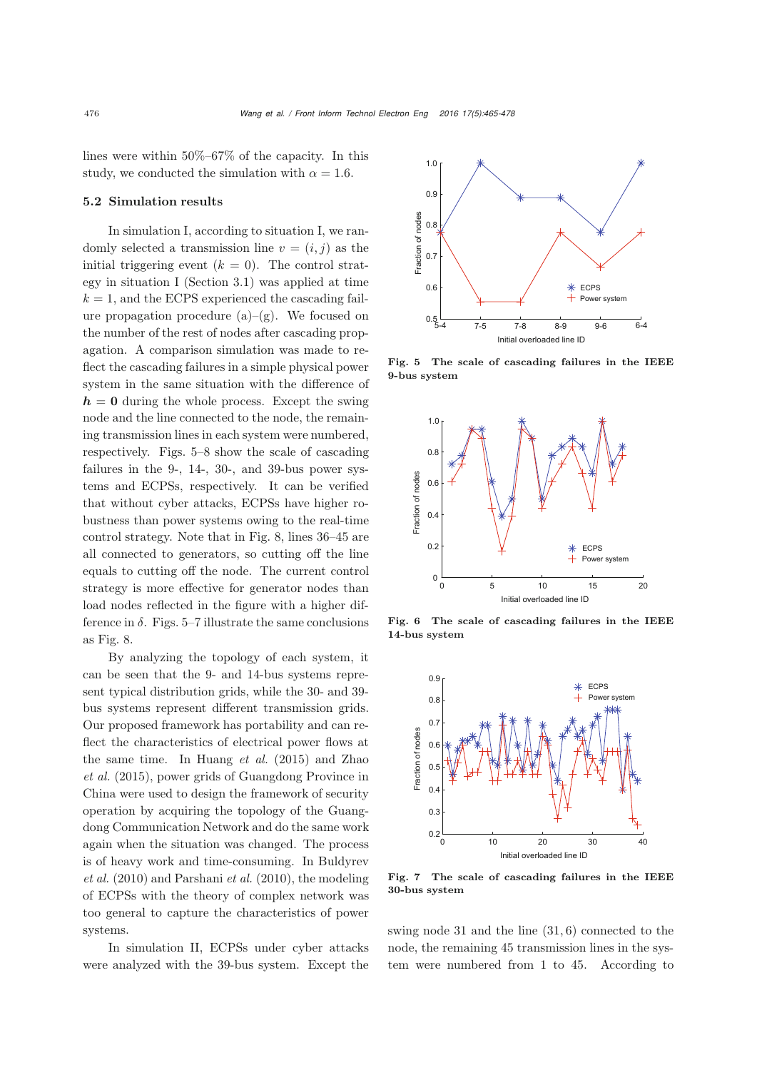lines were within 50%–67% of the capacity. In this study, we conducted the simulation with  $\alpha = 1.6$ .

## 5.2 Simulation results

In simulation I, according to situation I, we randomly selected a transmission line  $v = (i, j)$  as the initial triggering event  $(k = 0)$ . The control strategy in situation I (Section 3.1) was applied at time  $k = 1$ , and the ECPS experienced the cascading failure propagation procedure  $(a)$ – $(g)$ . We focused on the number of the rest of nodes after cascading propagation. A comparison simulation was made to reflect the cascading failures in a simple physical power system in the same situation with the difference of  $h = 0$  during the whole process. Except the swing node and the line connected to the node, the remaining transmission lines in each system were numbered, respectively. Figs. 5–8 show the scale of cascading failures in the 9-, 14-, 30-, and 39-bus power systems and ECPSs, respectively. It can be verified that without cyber attacks, ECPSs have higher robustness than power systems owing to the real-time control strategy. Note that in Fig. 8, lines 36–45 are all connected to generators, so cutting off the line equals to cutting off the node. The current control strategy is more effective for generator nodes than load nodes reflected in the figure with a higher difference in  $\delta$ . Figs. 5–7 illustrate the same conclusions as Fig. 8.

By analyzing the topology of each system, it can be seen that the 9- and 14-bus systems represent typical distribution grids, while the 30- and 39 bus systems represent different transmission grids. Our proposed framework has portability and can reflect the characteristics of electrical power flows at the [same](#page-13-26) [time.](#page-13-26) [In](#page-13-26) [Huang](#page-13-25) *et al.* [\(2015\)](#page-13-25) and Zhao *et al.* [\(2015\)](#page-13-26), power grids of Guangdong Province in China were used to design the framework of security operation by acquiring the topology of the Guangdong Communication Network and do the same work again when the situation was changed. The process is of [heavy](#page-13-5) [work](#page-13-5) [and](#page-13-5) [time-consuming.](#page-13-5) [In](#page-13-5) Buldyrev *et al.* [\(2010\)](#page-13-5) and [Parshani](#page-13-12) *et al.* [\(2010](#page-13-12)), the modeling of ECPSs with the theory of complex network was too general to capture the characteristics of power systems.

In simulation II, ECPSs under cyber attacks were analyzed with the 39-bus system. Except the



Fig. 5 The scale of cascading failures in the IEEE 9-bus system



Fig. 6 The scale of cascading failures in the IEEE 14-bus system



Fig. 7 The scale of cascading failures in the IEEE 30-bus system

swing node 31 and the line (31, 6) connected to the node, the remaining 45 transmission lines in the system were numbered from 1 to 45. According to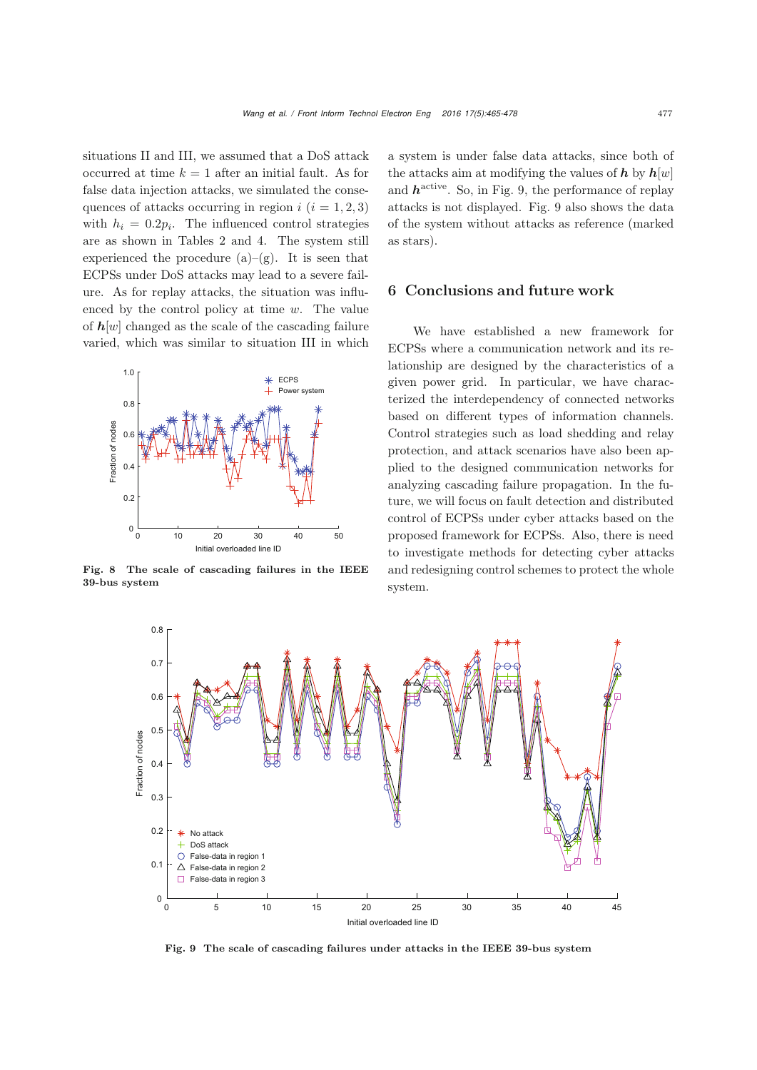situations II and III, we assumed that a DoS attack occurred at time  $k = 1$  after an initial fault. As for false data injection attacks, we simulated the consequences of attacks occurring in region  $i$   $(i = 1, 2, 3)$ with  $h_i = 0.2p_i$ . The influenced control strategies are as shown in Tables 2 and 4. The system still experienced the procedure  $(a)$ – $(g)$ . It is seen that ECPSs under DoS attacks may lead to a severe failure. As for replay attacks, the situation was influenced by the control policy at time  $w$ . The value of  $h[w]$  changed as the scale of the cascading failure varied, which was similar to situation III in which



Fig. 8 The scale of cascading failures in the IEEE 39-bus system

a system is under false data attacks, since both of the attacks aim at modifying the values of  $h$  by  $h[w]$ and  $h^{\text{active}}$ . So, in Fig. 9, the performance of replay attacks is not displayed. Fig. 9 also shows the data of the system without attacks as reference (marked as stars).

# 6 Conclusions and future work

We have established a new framework for ECPSs where a communication network and its relationship are designed by the characteristics of a given power grid. In particular, we have characterized the interdependency of connected networks based on different types of information channels. Control strategies such as load shedding and relay protection, and attack scenarios have also been applied to the designed communication networks for analyzing cascading failure propagation. In the future, we will focus on fault detection and distributed control of ECPSs under cyber attacks based on the proposed framework for ECPSs. Also, there is need to investigate methods for detecting cyber attacks and redesigning control schemes to protect the whole system.



Fig. 9 The scale of cascading failures under attacks in the IEEE 39-bus system